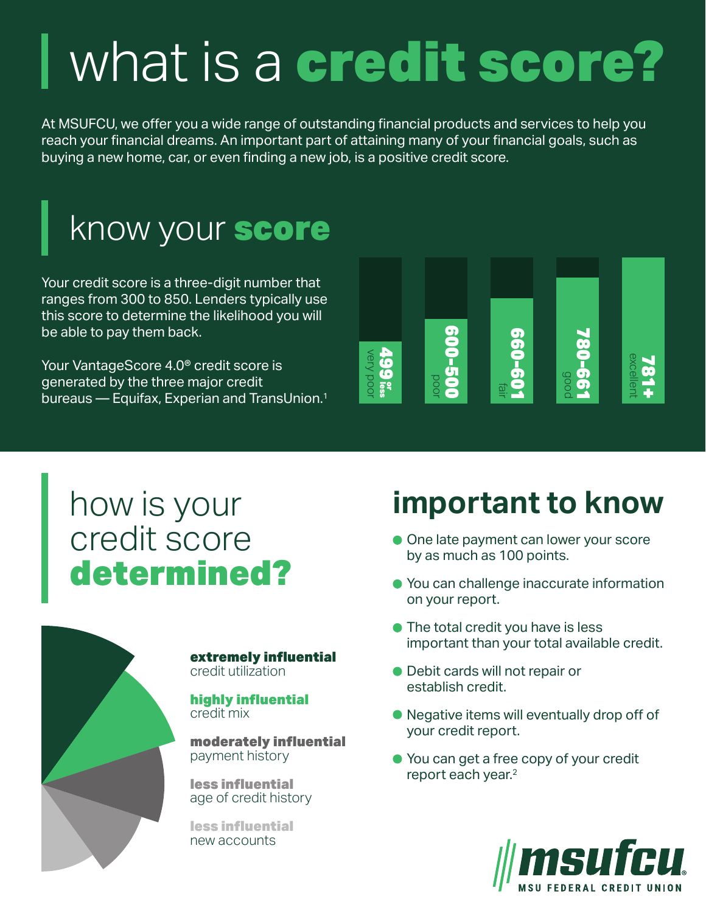# what is a credit score?

At MSUFCU, we offer you a wide range of outstanding financial products and services to help you reach your financial dreams. An important part of attaining many of your financial goals, such as buying a new home, car, or even finding a new job, is a positive credit score.

# know your score

Your credit score is a three-digit number that ranges from 300 to 850. Lenders typically use this score to determine the likelihood you will be able to pay them back.

Your VantageScore 4.0® credit score is generated by the three major credit bureaus — Equifax, Experian and TransUnion.<sup>1</sup>



### how is your credit score determined?



### extremely influential credit utilization

highly influential credit mix

moderately influential payment history

less influential age of credit history

less influential new accounts

### **important to know**

- **One late payment can lower your score** by as much as 100 points.
- You can challenge inaccurate information on your report.
- **The total credit you have is less** important than your total available credit.
- Debit cards will not repair or establish credit.
- Negative items will eventually drop off of your credit report.
- You can get a free copy of your credit report each year.<sup>2</sup>